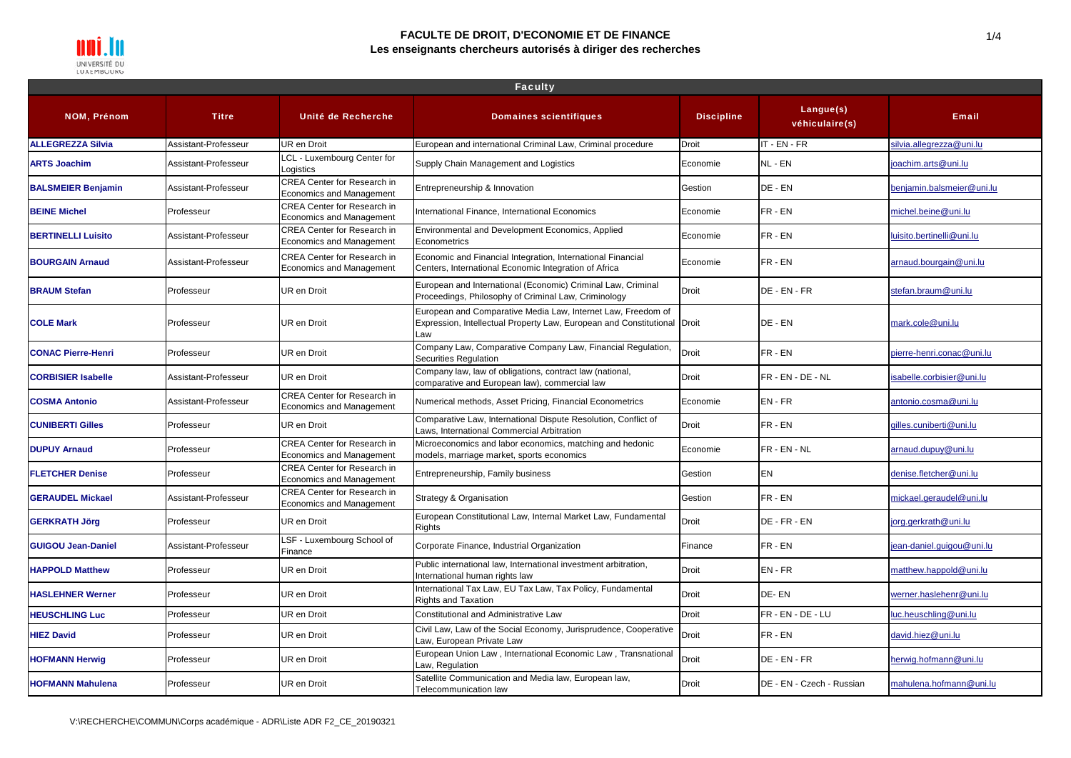

#### **FACULTE DE DROIT, D'ECONOMIE ET DE FINANCE Les enseignants chercheurs autorisés à diriger des recherches**

| <b>Faculty</b>            |                      |                                                                       |                                                                                                                                                 |                   |                             |                           |  |
|---------------------------|----------------------|-----------------------------------------------------------------------|-------------------------------------------------------------------------------------------------------------------------------------------------|-------------------|-----------------------------|---------------------------|--|
| <b>NOM, Prénom</b>        | <b>Titre</b>         | Unité de Recherche                                                    | <b>Domaines scientifiques</b>                                                                                                                   | <b>Discipline</b> | Langue(s)<br>véhiculaire(s) | <b>Email</b>              |  |
| <b>ALLEGREZZA Silvia</b>  | Assistant-Professeur | <b>UR en Droit</b>                                                    | European and international Criminal Law, Criminal procedure                                                                                     | <b>Droit</b>      | IT - EN - FR                | silvia.allegrezza@uni.lu  |  |
| <b>ARTS Joachim</b>       | Assistant-Professeur | LCL - Luxembourg Center for<br>Logistics                              | Supply Chain Management and Logistics                                                                                                           | Economie          | NL - EN                     | joachim.arts@uni.lu       |  |
| <b>BALSMEIER Benjamin</b> | Assistant-Professeur | <b>CREA Center for Research in</b><br><b>Economics and Management</b> | Entrepreneurship & Innovation                                                                                                                   | Gestion           | DE - EN                     | penjamin.balsmeier@uni.lu |  |
| <b>BEINE Michel</b>       | Professeur           | <b>CREA Center for Research in</b><br><b>Economics and Management</b> | International Finance, International Economics                                                                                                  | Economie          | FR-EN                       | michel.beine@uni.lu       |  |
| <b>BERTINELLI Luisito</b> | Assistant-Professeur | <b>CREA Center for Research in</b><br><b>Economics and Management</b> | Environmental and Development Economics, Applied<br>Econometrics                                                                                | Economie          | FR-EN                       | luisito.bertinelli@uni.lu |  |
| <b>BOURGAIN Arnaud</b>    | Assistant-Professeur | <b>CREA Center for Research in</b><br><b>Economics and Management</b> | Economic and Financial Integration, International Financial<br>Centers, International Economic Integration of Africa                            | Economie          | FR-EN                       | arnaud.bourgain@uni.lu    |  |
| <b>BRAUM Stefan</b>       | Professeur           | <b>UR en Droit</b>                                                    | European and International (Economic) Criminal Law, Criminal<br>Proceedings, Philosophy of Criminal Law, Criminology                            | Droit             | DE - EN - FR                | stefan.braum@uni.lu       |  |
| <b>COLE Mark</b>          | Professeur           | UR en Droit                                                           | European and Comparative Media Law, Internet Law, Freedom of<br>Expression, Intellectual Property Law, European and Constitutional Droit<br>Law |                   | DE - EN                     | mark.cole@uni.lu          |  |
| <b>CONAC Pierre-Henri</b> | Professeur           | UR en Droit                                                           | Company Law, Comparative Company Law, Financial Regulation,<br>Securities Regulation                                                            | Droit             | FR-EN                       | pierre-henri.conac@uni.lu |  |
| <b>CORBISIER Isabelle</b> | Assistant-Professeur | UR en Droit                                                           | Company law, law of obligations, contract law (national,<br>comparative and European law), commercial law                                       | <b>Droit</b>      | FR - EN - DE - NL           | sabelle.corbisier@uni.lu  |  |
| <b>COSMA Antonio</b>      | Assistant-Professeur | <b>CREA Center for Research in</b><br>Economics and Management        | Numerical methods, Asset Pricing, Financial Econometrics                                                                                        | Economie          | EN-FR                       | antonio.cosma@uni.lu      |  |
| <b>CUNIBERTI Gilles</b>   | Professeur           | UR en Droit                                                           | Comparative Law, International Dispute Resolution, Conflict of<br>Laws, International Commercial Arbitration                                    | <b>Droit</b>      | FR-EN                       | gilles.cuniberti@uni.lu   |  |
| <b>DUPUY Arnaud</b>       | Professeur           | <b>CREA Center for Research in</b><br><b>Economics and Management</b> | Microeconomics and labor economics, matching and hedonic<br>models, marriage market, sports economics                                           | Economie          | FR-EN-NL                    | arnaud.dupuy@uni.lu       |  |
| <b>FLETCHER Denise</b>    | Professeur           | <b>CREA Center for Research in</b><br><b>Economics and Management</b> | Entrepreneurship, Family business                                                                                                               | Gestion           | EN                          | denise.fletcher@uni.lu    |  |
| <b>GERAUDEL Mickael</b>   | Assistant-Professeur | <b>CREA Center for Research in</b><br>Economics and Management        | Strategy & Organisation                                                                                                                         | Gestion           | FR-EN                       | mickael.geraudel@uni.lu   |  |
| <b>GERKRATH Jörg</b>      | Professeur           | UR en Droit                                                           | European Constitutional Law, Internal Market Law, Fundamental<br>Rights                                                                         | <b>Droit</b>      | DE - FR - EN                | jorg.gerkrath@uni.lu      |  |
| <b>GUIGOU Jean-Daniel</b> | Assistant-Professeur | LSF - Luxembourg School of<br>Finance                                 | Corporate Finance, Industrial Organization                                                                                                      | Finance           | FR-EN                       | jean-daniel.guigou@uni.lu |  |
| <b>HAPPOLD Matthew</b>    | Professeur           | UR en Droit                                                           | Public international law, International investment arbitration,<br>International human rights law                                               | <b>Droit</b>      | EN-FR                       | matthew.happold@uni.lu    |  |
| <b>HASLEHNER Werner</b>   | Professeur           | UR en Droit                                                           | International Tax Law, EU Tax Law, Tax Policy, Fundamental<br><b>Rights and Taxation</b>                                                        | <b>Droit</b>      | DE-EN                       | werner.haslehenr@uni.lu   |  |
| <b>HEUSCHLING Luc</b>     | Professeur           | <b>UR en Droit</b>                                                    | Constitutional and Administrative Law                                                                                                           | <b>Droit</b>      | FR - EN - DE - LU           | uc.heuschling@uni.lu      |  |
| <b>HIEZ David</b>         | Professeur           | UR en Droit                                                           | Civil Law, Law of the Social Economy, Jurisprudence, Cooperative<br>Law, European Private Law                                                   | <b>Droit</b>      | FR-EN                       | david.hiez@uni.lu         |  |
| <b>HOFMANN Herwig</b>     | Professeur           | UR en Droit                                                           | European Union Law, International Economic Law, Transnational<br>Law, Regulation                                                                | Droit             | DE - EN - FR                | nerwig.hofmann@uni.lu     |  |
| <b>HOFMANN Mahulena</b>   | Professeur           | UR en Droit                                                           | Satellite Communication and Media law, European law,<br>Telecommunication law                                                                   | <b>Droit</b>      | DE - EN - Czech - Russian   | mahulena.hofmann@uni.lu   |  |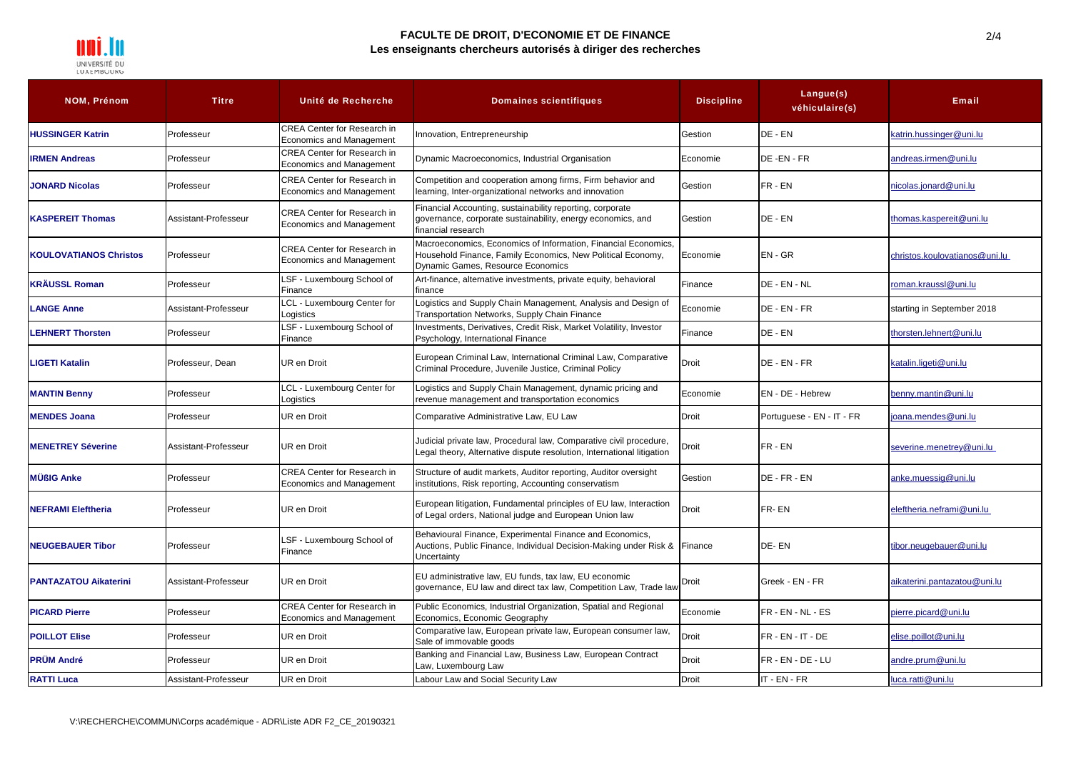

### **FACULTE DE DROIT, D'ECONOMIE ET DE FINANCE Les enseignants chercheurs autorisés à diriger des recherches**

| <b>NOM, Prénom</b>            | <b>Titre</b>         | Unité de Recherche                                                    | <b>Domaines scientifiques</b>                                                                                                                                      | <b>Discipline</b> | Langue(s)<br>véhiculaire(s) | <b>Email</b>                  |
|-------------------------------|----------------------|-----------------------------------------------------------------------|--------------------------------------------------------------------------------------------------------------------------------------------------------------------|-------------------|-----------------------------|-------------------------------|
| <b>HUSSINGER Katrin</b>       | Professeur           | <b>CREA Center for Research in</b><br>Economics and Management        | Innovation, Entrepreneurship                                                                                                                                       | Gestion           | DE - EN                     | katrin.hussinger@uni.lu       |
| <b>IRMEN Andreas</b>          | Professeur           | <b>CREA Center for Research in</b><br>Economics and Management        | Dynamic Macroeconomics, Industrial Organisation                                                                                                                    | Economie          | DE-EN-FR                    | andreas.irmen@uni.lu          |
| <b>JONARD Nicolas</b>         | Professeur           | <b>CREA Center for Research in</b><br><b>Economics and Management</b> | Competition and cooperation among firms, Firm behavior and<br>learning, Inter-organizational networks and innovation                                               | Gestion           | FR-EN                       | nicolas.jonard@uni.lu         |
| <b>KASPEREIT Thomas</b>       | Assistant-Professeur | <b>CREA Center for Research in</b><br><b>Economics and Management</b> | Financial Accounting, sustainability reporting, corporate<br>governance, corporate sustainability, energy economics, and<br>financial research                     | Gestion           | DE - EN                     | thomas.kaspereit@uni.lu       |
| <b>KOULOVATIANOS Christos</b> | Professeur           | <b>CREA Center for Research in</b><br><b>Economics and Management</b> | Macroeconomics, Economics of Information, Financial Economics,<br>Household Finance, Family Economics, New Political Economy,<br>Dynamic Games, Resource Economics | Economie          | $EN - GR$                   | christos.koulovatianos@uni.lu |
| <b>KRÄUSSL Roman</b>          | Professeur           | LSF - Luxembourg School of<br>Finance                                 | Art-finance, alternative investments, private equity, behavioral<br>finance                                                                                        | Finance           | DE - EN - NL                | roman.kraussl@uni.lu          |
| <b>LANGE Anne</b>             | Assistant-Professeur | LCL - Luxembourg Center for<br>ogistics                               | Logistics and Supply Chain Management, Analysis and Design of<br>Transportation Networks, Supply Chain Finance                                                     | Economie          | DE - EN - FR                | starting in September 2018    |
| <b>LEHNERT Thorsten</b>       | Professeur           | LSF - Luxembourg School of<br>Finance                                 | Investments, Derivatives, Credit Risk, Market Volatility, Investor<br>Psychology, International Finance                                                            | Finance           | DE - EN                     | thorsten.lehnert@uni.lu       |
| <b>LIGETI Katalin</b>         | Professeur, Dean     | UR en Droit                                                           | European Criminal Law, International Criminal Law, Comparative<br>Criminal Procedure, Juvenile Justice, Criminal Policy                                            | Droit             | DE - EN - FR                | katalin.ligeti@uni.lu         |
| <b>MANTIN Benny</b>           | Professeur           | LCL - Luxembourg Center for<br>Logistics                              | Logistics and Supply Chain Management, dynamic pricing and<br>revenue management and transportation economics                                                      | Economie          | EN - DE - Hebrew            | benny.mantin@uni.lu           |
| <b>MENDES Joana</b>           | Professeur           | UR en Droit                                                           | Comparative Administrative Law, EU Law                                                                                                                             | Droit             | Portuguese - EN - IT - FR   | oana.mendes@uni.lu            |
| <b>MENETREY Séverine</b>      | Assistant-Professeur | UR en Droit                                                           | Judicial private law, Procedural law, Comparative civil procedure,<br>Legal theory, Alternative dispute resolution, International litigation                       | Droit             | FR - EN                     | severine.menetrey@uni.lu      |
| <b>MÜßIG Anke</b>             | Professeur           | <b>CREA Center for Research in</b><br><b>Economics and Management</b> | Structure of audit markets, Auditor reporting, Auditor oversight<br>institutions, Risk reporting, Accounting conservatism                                          | Gestion           | DE - FR - EN                | anke.muessig@uni.lu           |
| <b>NEFRAMI Eleftheria</b>     | Professeur           | UR en Droit                                                           | European litigation, Fundamental principles of EU law, Interaction<br>of Legal orders, National judge and European Union law                                       | Droit             | FR-EN                       | eleftheria.neframi@uni.lu     |
| <b>NEUGEBAUER Tibor</b>       | Professeur           | LSF - Luxembourg School of<br>Finance                                 | Behavioural Finance, Experimental Finance and Economics,<br>Auctions, Public Finance, Individual Decision-Making under Risk &<br>Uncertainty                       | Finance           | DE-EN                       | tibor.neugebauer@uni.lu       |
| <b>PANTAZATOU Aikaterini</b>  | Assistant-Professeur | UR en Droit                                                           | EU administrative law, EU funds, tax law, EU economic<br>governance, EU law and direct tax law, Competition Law, Trade law                                         | Droit             | Greek - EN - FR             | aikaterini.pantazatou@uni.lu  |
| <b>PICARD Pierre</b>          | Professeur           | <b>CREA Center for Research in</b><br>Economics and Management        | Public Economics, Industrial Organization, Spatial and Regional<br>Economics, Economic Geography                                                                   | Economie          | FR - EN - NL - ES           | pierre.picard@uni.lu          |
| <b>POILLOT Elise</b>          | Professeur           | UR en Droit                                                           | Comparative law, European private law, European consumer law,<br>Sale of immovable goods                                                                           | Droit             | $FR - EN - IT - DE$         | elise.poillot@uni.lu          |
| <b>PRÜM André</b>             | Professeur           | UR en Droit                                                           | Banking and Financial Law, Business Law, European Contract<br>aw, Luxembourg Law                                                                                   | Droit             | FR - EN - DE - LU           | andre.prum@uni.lu             |
| <b>RATTI Luca</b>             | Assistant-Professeur | UR en Droit                                                           | Labour Law and Social Security Law                                                                                                                                 | <b>Droit</b>      | IT - EN - FR                | luca.ratti@uni.lu             |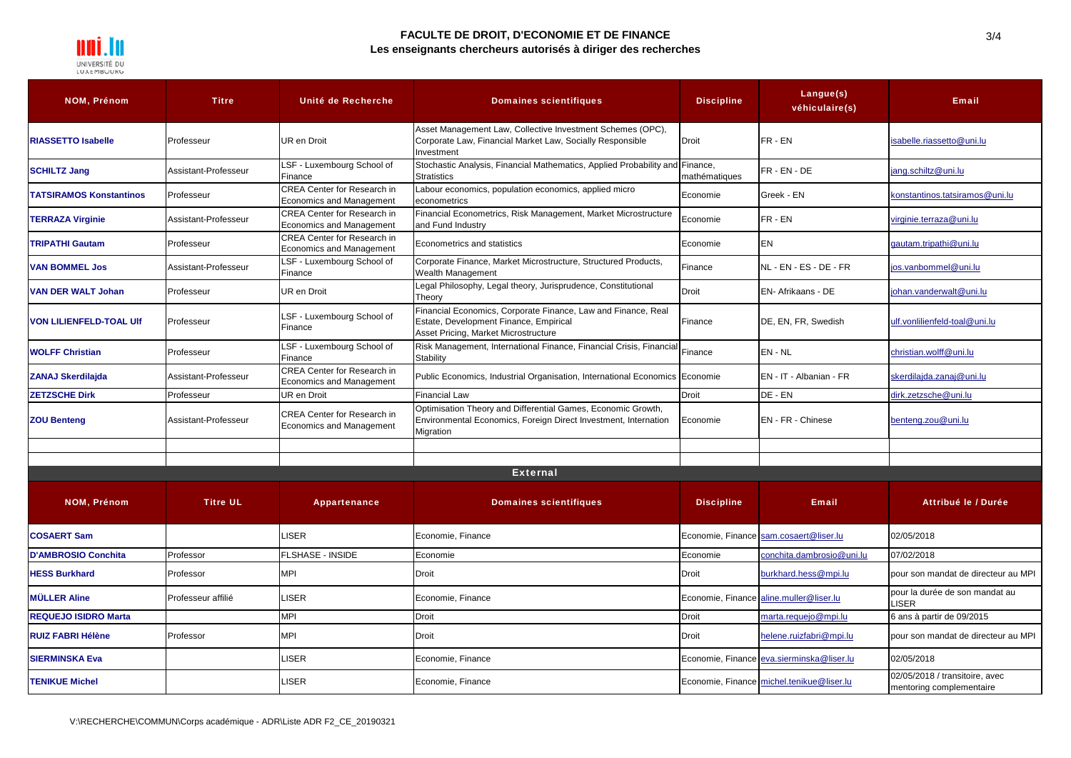

### **FACULTE DE DROIT, D'ECONOMIE ET DE FINANCE Les enseignants chercheurs autorisés à diriger des recherches**

| <b>NOM, Prénom</b>             | <b>Titre</b>         | Unité de Recherche                                                    | <b>Domaines scientifiques</b>                                                                                                                   | <b>Discipline</b> | Langue(s)<br>véhiculaire(s)               | <b>Email</b>                                               |
|--------------------------------|----------------------|-----------------------------------------------------------------------|-------------------------------------------------------------------------------------------------------------------------------------------------|-------------------|-------------------------------------------|------------------------------------------------------------|
| <b>RIASSETTO Isabelle</b>      | Professeur           | UR en Droit                                                           | Asset Management Law, Collective Investment Schemes (OPC),<br>Corporate Law, Financial Market Law, Socially Responsible<br>Investment           | <b>Droit</b>      | FR-EN                                     | isabelle.riassetto@uni.lu                                  |
| <b>SCHILTZ Jang</b>            | Assistant-Professeur | LSF - Luxembourg School of<br>Finance                                 | Stochastic Analysis, Financial Mathematics, Applied Probability and Finance,<br><b>Stratistics</b>                                              | mathématiques     | FR-EN-DE                                  | jang.schiltz@uni.lu                                        |
| <b>TATSIRAMOS Konstantinos</b> | Professeur           | <b>CREA Center for Research in</b><br><b>Economics and Management</b> | Labour economics, population economics, applied micro<br>econometrics                                                                           | Economie          | Greek - EN                                | konstantinos.tatsiramos@uni.lu                             |
| <b>TERRAZA Virginie</b>        | Assistant-Professeur | CREA Center for Research in<br><b>Economics and Management</b>        | Financial Econometrics, Risk Management, Market Microstructure<br>and Fund Industry                                                             | Economie          | FR-EN                                     | virginie.terraza@uni.lu                                    |
| <b>TRIPATHI Gautam</b>         | Professeur           | CREA Center for Research in<br><b>Economics and Management</b>        | Econometrics and statistics                                                                                                                     | Economie          | EN                                        | qautam.tripathi@uni.lu                                     |
| <b>VAN BOMMEL Jos</b>          | Assistant-Professeur | <b>SF - Luxembourg School of</b><br>Finance                           | Corporate Finance, Market Microstructure, Structured Products,<br>Wealth Management                                                             | Finance           | NL - EN - ES - DE - FR                    | ios.vanbommel@uni.lu                                       |
| <b>VAN DER WALT Johan</b>      | Professeur           | UR en Droit                                                           | Legal Philosophy, Legal theory, Jurisprudence, Constitutional<br>Theory                                                                         | Droit             | EN- Afrikaans - DE                        | johan.vanderwalt@uni.lu                                    |
| <b>VON LILIENFELD-TOAL UIf</b> | Professeur           | SF - Luxembourg School of<br>Finance                                  | Financial Economics, Corporate Finance, Law and Finance, Real<br>Estate, Development Finance, Empirical<br>Asset Pricing, Market Microstructure | Finance           | DE, EN, FR, Swedish                       | ulf.vonlilienfeld-toal@uni.lu                              |
| <b>WOLFF Christian</b>         | Professeur           | <b>SF-Luxembourg School of</b><br>Finance                             | Risk Management, International Finance, Financial Crisis, Financial<br>Stability                                                                | Finance           | EN - NL                                   | christian.wolff@uni.lu                                     |
| <b>ZANAJ Skerdilajda</b>       | Assistant-Professeur | CREA Center for Research in<br>Economics and Management               | Public Economics, Industrial Organisation, International Economics Economie                                                                     |                   | EN - IT - Albanian - FR                   | skerdilajda.zanaj@uni.lu                                   |
| <b>ZETZSCHE Dirk</b>           | Professeur           | UR en Droit                                                           | <b>Financial Law</b>                                                                                                                            | <b>Droit</b>      | DE - EN                                   | dirk.zetzsche@uni.lu                                       |
| <b>ZOU Benteng</b>             | Assistant-Professeur | <b>CREA Center for Research in</b><br><b>Economics and Management</b> | Optimisation Theory and Differential Games, Economic Growth,<br>Environmental Economics, Foreign Direct Investment, Internation<br>Migration    | Economie          | <b>EN</b> - FR - Chinese                  | benteng.zou@uni.lu                                         |
|                                |                      |                                                                       |                                                                                                                                                 |                   |                                           |                                                            |
|                                |                      |                                                                       |                                                                                                                                                 |                   |                                           |                                                            |
|                                |                      |                                                                       | <b>External</b>                                                                                                                                 |                   |                                           |                                                            |
| NOM, Prénom                    | <b>Titre UL</b>      | Appartenance                                                          | <b>Domaines scientifiques</b>                                                                                                                   | <b>Discipline</b> | <b>Email</b>                              | Attribué le / Durée                                        |
| <b>COSAERT Sam</b>             |                      | <b>ISER</b>                                                           | Economie, Finance                                                                                                                               |                   | Economie, Finance sam.cosaert@liser.lu    | 02/05/2018                                                 |
| <b>D'AMBROSIO Conchita</b>     | Professor            | <b>FLSHASE - INSIDE</b>                                               | Economie                                                                                                                                        | Economie          | conchita.dambrosio@uni.lu                 | 07/02/2018                                                 |
| <b>HESS Burkhard</b>           | Professor            | <b>MPI</b>                                                            | <b>Droit</b>                                                                                                                                    | Droit             | burkhard.hess@mpi.lu                      | pour son mandat de directeur au MPI                        |
| <b>MÜLLER Aline</b>            | Professeur affilié   | _ISER                                                                 | Economie, Finance                                                                                                                               |                   | Economie, Finance aline.muller@liser.lu   | pour la durée de son mandat au<br>LISER                    |
| <b>REQUEJO ISIDRO Marta</b>    |                      | <b>MPI</b>                                                            | <b>Droit</b>                                                                                                                                    | <b>Droit</b>      | marta.requejo@mpi.lu                      | 6 ans à partir de 09/2015                                  |
| <b>RUIZ FABRI Hélène</b>       | Professor            | MPI                                                                   | <b>Droit</b>                                                                                                                                    | <b>Droit</b>      | helene.ruizfabri@mpi.lu                   | pour son mandat de directeur au MPI                        |
| <b>SIERMINSKA Eva</b>          |                      | _ISER                                                                 | Economie, Finance                                                                                                                               |                   | Economie, Finance eva.sierminska@liser.lu | 02/05/2018                                                 |
| <b>TENIKUE Michel</b>          |                      | <b>ISER</b>                                                           | Economie, Finance                                                                                                                               |                   | Economie, Finance michel.tenikue@liser.lu | 02/05/2018 / transitoire, avec<br>mentoring complementaire |